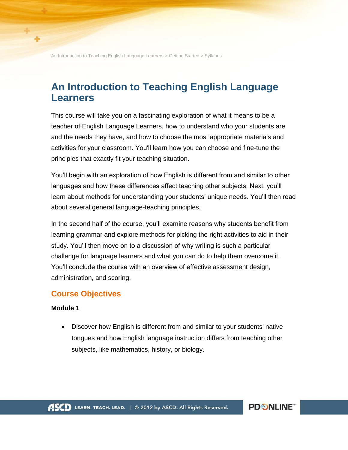An Introduction to Teaching English Language Learners > Getting Started > Syllabus **\_\_\_\_\_\_\_\_\_\_\_\_\_\_\_\_\_\_\_\_\_\_\_\_\_\_\_\_\_\_\_\_\_\_\_\_\_\_\_\_\_\_\_\_\_\_\_\_\_\_\_\_\_\_\_\_\_\_\_\_\_\_\_\_\_\_\_\_\_\_\_\_\_\_\_\_\_\_\_\_\_\_\_\_\_\_\_\_\_\_\_**

# **An Introduction to Teaching English Language Learners**

This course will take you on a fascinating exploration of what it means to be a teacher of English Language Learners, how to understand who your students are and the needs they have, and how to choose the most appropriate materials and activities for your classroom. You'll learn how you can choose and fine-tune the principles that exactly fit your teaching situation.

You'll begin with an exploration of how English is different from and similar to other languages and how these differences affect teaching other subjects. Next, you'll learn about methods for understanding your students' unique needs. You'll then read about several general language-teaching principles.

In the second half of the course, you'll examine reasons why students benefit from learning grammar and explore methods for picking the right activities to aid in their study. You'll then move on to a discussion of why writing is such a particular challenge for language learners and what you can do to help them overcome it. You'll conclude the course with an overview of effective assessment design, administration, and scoring.

## **Course Objectives**

#### **Module 1**

• Discover how English is different from and similar to your students' native tongues and how English language instruction differs from teaching other subjects, like mathematics, history, or biology.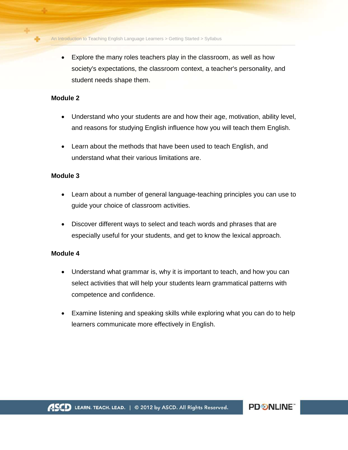An Introduction to Teaching English Language Learners > Getting Started > Syllabus **\_\_\_\_\_\_\_\_\_\_\_\_\_\_\_\_\_\_\_\_\_\_\_\_\_\_\_\_\_\_\_\_\_\_\_\_\_\_\_\_\_\_\_\_\_\_\_\_\_\_\_\_\_\_\_\_\_\_\_\_\_\_\_\_\_\_\_\_\_\_\_\_\_\_\_\_\_\_\_\_\_\_\_\_\_\_\_\_\_\_\_**

 Explore the many roles teachers play in the classroom, as well as how society's expectations, the classroom context, a teacher's personality, and student needs shape them.

#### **Module 2**

- Understand who your students are and how their age, motivation, ability level, and reasons for studying English influence how you will teach them English.
- Learn about the methods that have been used to teach English, and understand what their various limitations are.

#### **Module 3**

- Learn about a number of general language-teaching principles you can use to guide your choice of classroom activities.
- Discover different ways to select and teach words and phrases that are especially useful for your students, and get to know the lexical approach.

#### **Module 4**

- Understand what grammar is, why it is important to teach, and how you can select activities that will help your students learn grammatical patterns with competence and confidence.
- Examine listening and speaking skills while exploring what you can do to help learners communicate more effectively in English.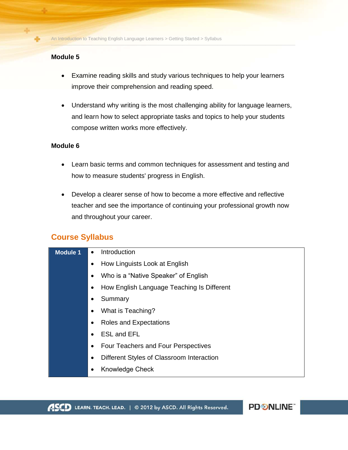## **Module 5**

- Examine reading skills and study various techniques to help your learners improve their comprehension and reading speed.
- Understand why writing is the most challenging ability for language learners, and learn how to select appropriate tasks and topics to help your students compose written works more effectively.

#### **Module 6**

- Learn basic terms and common techniques for assessment and testing and how to measure students' progress in English.
- Develop a clearer sense of how to become a more effective and reflective teacher and see the importance of continuing your professional growth now and throughout your career.

# **Course Syllabus**

| <b>Module 1</b> | Introduction<br>$\bullet$                               |
|-----------------|---------------------------------------------------------|
|                 | How Linguists Look at English<br>$\bullet$              |
|                 | Who is a "Native Speaker" of English                    |
|                 | How English Language Teaching Is Different              |
|                 | Summary                                                 |
|                 | What is Teaching?                                       |
|                 | <b>Roles and Expectations</b>                           |
|                 | <b>ESL and EFL</b>                                      |
|                 | <b>Four Teachers and Four Perspectives</b><br>$\bullet$ |
|                 | Different Styles of Classroom Interaction               |
|                 | Knowledge Check<br>$\bullet$                            |

**PD SNLINE**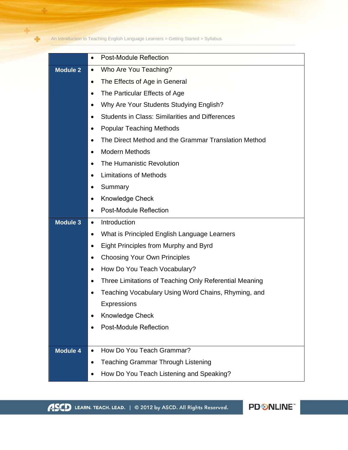An Introduction to Teaching English Language Learners > Getting Started > Syllabus<br> **An Introduction to Teaching English Language Learners > Getting Started > Syllabus** 

÷

|                 | <b>Post-Module Reflection</b><br>$\bullet$                          |
|-----------------|---------------------------------------------------------------------|
| <b>Module 2</b> | Who Are You Teaching?<br>$\bullet$                                  |
|                 | The Effects of Age in General<br>$\bullet$                          |
|                 | The Particular Effects of Age<br>$\bullet$                          |
|                 | Why Are Your Students Studying English?                             |
|                 | <b>Students in Class: Similarities and Differences</b><br>$\bullet$ |
|                 | <b>Popular Teaching Methods</b><br>$\bullet$                        |
|                 | The Direct Method and the Grammar Translation Method<br>$\bullet$   |
|                 | <b>Modern Methods</b><br>$\bullet$                                  |
|                 | The Humanistic Revolution<br>$\bullet$                              |
|                 | <b>Limitations of Methods</b><br>$\bullet$                          |
|                 | Summary                                                             |
|                 | Knowledge Check<br>$\bullet$                                        |
|                 | <b>Post-Module Reflection</b><br>$\bullet$                          |
| <b>Module 3</b> | Introduction<br>$\bullet$                                           |
|                 | What is Principled English Language Learners<br>٠                   |
|                 | Eight Principles from Murphy and Byrd<br>$\bullet$                  |
|                 | <b>Choosing Your Own Principles</b><br>$\bullet$                    |
|                 | How Do You Teach Vocabulary?<br>$\bullet$                           |
|                 | Three Limitations of Teaching Only Referential Meaning<br>$\bullet$ |
|                 | Teaching Vocabulary Using Word Chains, Rhyming, and                 |
|                 | Expressions                                                         |
|                 | Knowledge Check<br>$\bullet$                                        |
|                 | <b>Post-Module Reflection</b>                                       |
|                 |                                                                     |
| <b>Module 4</b> | How Do You Teach Grammar?                                           |
|                 | <b>Teaching Grammar Through Listening</b><br>$\bullet$              |
|                 | How Do You Teach Listening and Speaking?<br>$\bullet$               |

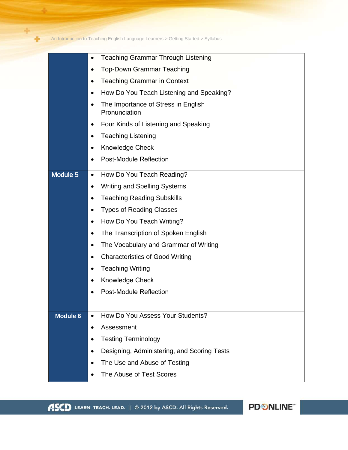An Introduction to Teaching English Language Learners > Getting Started > Syllabus<br> **An Introduction to Teaching English Language Learners > Getting Started > Syllabus** 

÷

|                 | <b>Teaching Grammar Through Listening</b>             |
|-----------------|-------------------------------------------------------|
|                 | <b>Top-Down Grammar Teaching</b>                      |
|                 | <b>Teaching Grammar in Context</b>                    |
|                 | How Do You Teach Listening and Speaking?<br>$\bullet$ |
|                 | The Importance of Stress in English<br>Pronunciation  |
|                 | Four Kinds of Listening and Speaking                  |
|                 | <b>Teaching Listening</b>                             |
|                 | Knowledge Check<br>$\bullet$                          |
|                 | <b>Post-Module Reflection</b>                         |
| Module 5        | How Do You Teach Reading?<br>$\bullet$                |
|                 | <b>Writing and Spelling Systems</b>                   |
|                 | <b>Teaching Reading Subskills</b>                     |
|                 | <b>Types of Reading Classes</b>                       |
|                 | How Do You Teach Writing?<br>$\bullet$                |
|                 | The Transcription of Spoken English                   |
|                 | The Vocabulary and Grammar of Writing                 |
|                 | <b>Characteristics of Good Writing</b><br>$\bullet$   |
|                 | <b>Teaching Writing</b>                               |
|                 | Knowledge Check                                       |
|                 | <b>Post-Module Reflection</b>                         |
|                 |                                                       |
| <b>Module 6</b> | How Do You Assess Your Students?                      |
|                 | Assessment<br>$\bullet$                               |
|                 | <b>Testing Terminology</b>                            |
|                 | Designing, Administering, and Scoring Tests           |
|                 | The Use and Abuse of Testing                          |
|                 | The Abuse of Test Scores                              |
|                 |                                                       |

PD SNLINE"